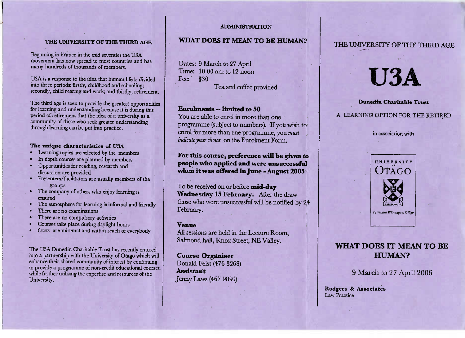### **ADMINISTRATION**

### **THE UNIVERSITY OF THE THIRD AGE**

Beginning in France in the find seventies the OBA<br>movement has now spread to most countries and has n France in the mid seventies the USAow spread to most countries an<br>of thousands of members. many hundreds of thousands of members.

U3A is a response to the idea that human life is dividedto the periods, many, emiddiood and had three periods: histly, childhood and schooling;<br>secondly, child rearing and work; and thirdly, retirement.

The third age is seen to provide the greatest opportunities d understanding because it is during this for *icaring and understanding because* it is duriberiou of relifement that the idea of a university as a<br>community of those who seek greater understanding through learning can be put into practice.

# **The unique characteristics of** U3A

- Learning topics are selected by the members
- In depth courses are planned by members
- Opportunities for reading, research anddiscussion are provided
- discussion are provided<br>Presenters/facilitators are usually members of the
- The company of others who enjoy learning is
- ensure d The atmosphere for learning is informal and friendly
- There are no examinations
- there are no compusory a
- io compuisory activities<br>e place during davlight l
- Courses take place during daylight hours Costs are minimal and within reach of everybody

The OSA Dunctun Charitable Trust has recently A Duncally Charlable Trust has recently entered<br>artnership with the University of Otago which will hio a partnership with the University of Utago which will<br>mhance their shared community of interest by continuing uuue of non-cregit egucanonal coirse to provide a programme of non-credit educational courseswhile further utilising the expertise and resources of the University.

### **WHAT DOES IT** MEAN **TO BE HUMAN?**

Dates: 9 March to 27 April Time: 10 00 am to 12 noon $30$ Fee: **Tea and coffee provided** 

## **Enrolments — limited to 50**

 You are able to enrol in more than one programme (subject to numbers). If you wish to enrol for more than one programme, you *mustindicateyour choice* on the Enrolment Form.

**For this course, preference will be given to people who applied and were unsuccessfulwhen it was offered in June - August 2005**

To be received on or before **mid-day Wednesday 15 February.** After the drawthose who were unsuccessful will be notified by  $24$ February.

### **Venue**

 All sessions are held in the Lecture Room,Salmond hall, Knox Street, NE Valley.

**Course Organiser** Donald Feist (476 3268) **Assistant**Jenny Laws (467 9890)

### THE UNIVERSITY OF THE THIRD AGE

# **USA**

 **Dunedin Charitable Trust**A LEARNING OPTION FOR THE RETIRED

in association with



# **WHAT DOES IT** MEAN **TO BEHUMAN?**

) March to 27 April 2006

Rodgers **& Associates**aw Practice